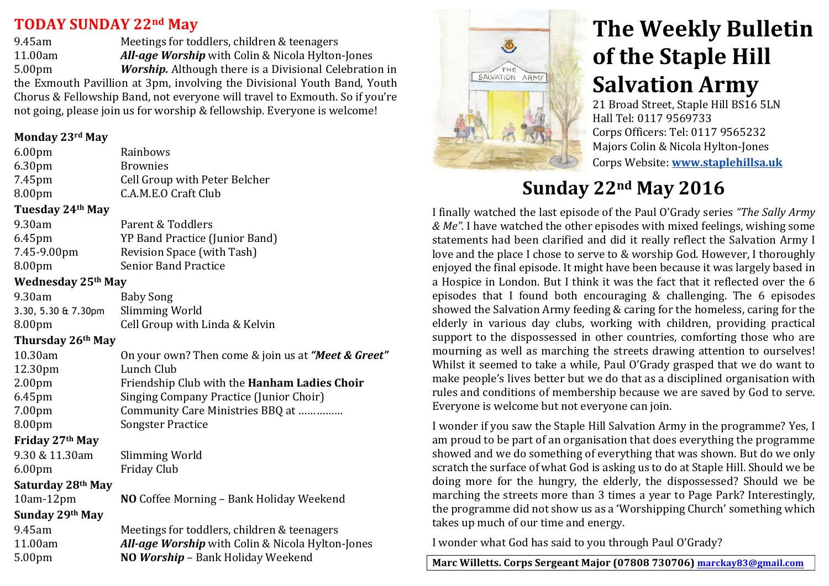## **TODAY SUNDAY&22nd May &&**

9.45am Meetings for toddlers, children & teenagers 11.00am *All-age Worship* with Colin & Nicola Hylton-Jones 5.00pm *Worship.* Although there is a Divisional Celebration in the Exmouth Pavillion at 3pm, involving the Divisional Youth Band, Youth Chorus & Fellowship Band, not everyone will travel to Exmouth. So if you're not going, please join us for worship & fellowship. Everyone is welcome!

#### **Monday&23rd May**

| 6.00 <sub>pm</sub>        | Rainbows                                           |
|---------------------------|----------------------------------------------------|
| 6.30pm                    | <b>Brownies</b>                                    |
| 7.45pm                    | Cell Group with Peter Belcher                      |
| 8.00pm                    | C.A.M.E.O Craft Club                               |
| Tuesday 24th May          |                                                    |
| 9.30am                    | Parent & Toddlers                                  |
| 6.45pm                    | YP Band Practice (Junior Band)                     |
| 7.45-9.00pm               | Revision Space (with Tash)                         |
| 8.00pm                    | <b>Senior Band Practice</b>                        |
| <b>Wednesday 25th May</b> |                                                    |
| 9.30am                    | <b>Baby Song</b>                                   |
| 3.30, 5.30 & 7.30pm       | Slimming World                                     |
| 8.00pm                    | Cell Group with Linda & Kelvin                     |
| Thursday 26th May         |                                                    |
| 10.30am                   | On your own? Then come & join us at "Meet & Greet" |
| 12.30pm                   | Lunch Club                                         |
| 2.00 <sub>pm</sub>        | Friendship Club with the Hanham Ladies Choir       |
| 6.45pm                    | Singing Company Practice (Junior Choir)            |
| 7.00pm                    | Community Care Ministries BBQ at                   |
| 8.00pm                    | <b>Songster Practice</b>                           |
| Friday 27th May           |                                                    |
| 9.30 & 11.30am            | Slimming World                                     |
| 6.00pm                    | <b>Friday Club</b>                                 |
| Saturday 28th May         |                                                    |
| $10am-12pm$               | NO Coffee Morning - Bank Holiday Weekend           |
| Sunday 29th May           |                                                    |
| 9.45am                    | Meetings for toddlers, children & teenagers        |
| 11.00am                   | All-age Worship with Colin & Nicola Hylton-Jones   |
| 5.00 <sub>pm</sub>        | NO Worship - Bank Holiday Weekend                  |



# **The Weekly Bulletin of the Staple Hill Salvation Army**

21 Broad Street, Staple Hill BS16 5LN Hall Tel: 0117 9569733 Corps Officers: Tel: 0117 9565232 Majors Colin & Nicola Hylton-Jones ''''' Corps'Website: **www.staplehillsa.uk**

# **Sunday&22nd May 2016**

I finally watched the last episode of the Paul O'Grady series "The Sally Army" *& Me".* I have watched the other episodes with mixed feelings, wishing some statements had been clarified and did it really reflect the Salvation Army I love and the place I chose to serve to & worship God. However, I thoroughly enjoyed the final episode. It might have been because it was largely based in a Hospice in London. But I think it was the fact that it reflected over the 6 episodes that I found both encouraging  $&$  challenging. The 6 episodes showed the Salvation Army feeding & caring for the homeless, caring for the elderly in various day clubs, working with children, providing practical support to the dispossessed in other countries, comforting those who are mourning as well as marching the streets drawing attention to ourselves! Whilst it seemed to take a while, Paul O'Grady grasped that we do want to make people's lives better but we do that as a disciplined organisation with rules and conditions of membership because we are saved by God to serve. Everyone is welcome but not everyone can join.

I wonder if you saw the Staple Hill Salvation Army in the programme? Yes, I am proud to be part of an organisation that does everything the programme showed and we do something of everything that was shown. But do we only scratch the surface of what God is asking us to do at Staple Hill. Should we be doing more for the hungry, the elderly, the dispossessed? Should we be marching the streets more than 3 times a year to Page Park? Interestingly, the programme did not show us as a 'Worshipping Church' something which takes up much of our time and energy.

I wonder what God has said to you through Paul O'Grady?

Marc Willetts. Corps Sergeant Major (07808 730706) marckay83@gmail.com